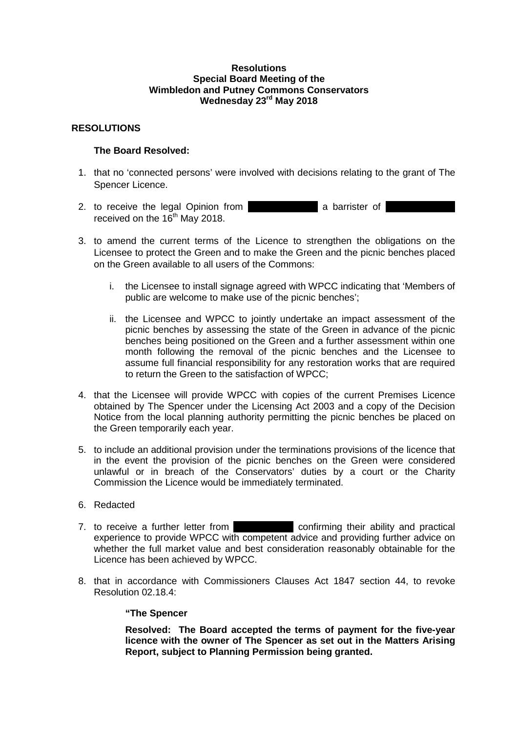### **Resolutions Special Board Meeting of the Wimbledon and Putney Commons Conservators Wednesday 23rd May 2018**

## **RESOLUTIONS**

# **The Board Resolved:**

- 1. that no 'connected persons' were involved with decisions relating to the grant of The Spencer Licence.
- 2. to receive the legal Opinion from **a** barrister of received on the  $16<sup>th</sup>$  May 2018.
- 3. to amend the current terms of the Licence to strengthen the obligations on the Licensee to protect the Green and to make the Green and the picnic benches placed on the Green available to all users of the Commons:
	- i. the Licensee to install signage agreed with WPCC indicating that 'Members of public are welcome to make use of the picnic benches';
	- ii. the Licensee and WPCC to jointly undertake an impact assessment of the picnic benches by assessing the state of the Green in advance of the picnic benches being positioned on the Green and a further assessment within one month following the removal of the picnic benches and the Licensee to assume full financial responsibility for any restoration works that are required to return the Green to the satisfaction of WPCC;
- 4. that the Licensee will provide WPCC with copies of the current Premises Licence obtained by The Spencer under the Licensing Act 2003 and a copy of the Decision Notice from the local planning authority permitting the picnic benches be placed on the Green temporarily each year.
- 5. to include an additional provision under the terminations provisions of the licence that in the event the provision of the picnic benches on the Green were considered unlawful or in breach of the Conservators' duties by a court or the Charity Commission the Licence would be immediately terminated.
- 6. Redacted
- 7. to receive a further letter from confirming their ability and practical experience to provide WPCC with competent advice and providing further advice on whether the full market value and best consideration reasonably obtainable for the Licence has been achieved by WPCC.
- 8. that in accordance with Commissioners Clauses Act 1847 section 44, to revoke Resolution 02.18.4:

## **"The Spencer**

**Resolved: The Board accepted the terms of payment for the five-year licence with the owner of The Spencer as set out in the Matters Arising Report, subject to Planning Permission being granted.**